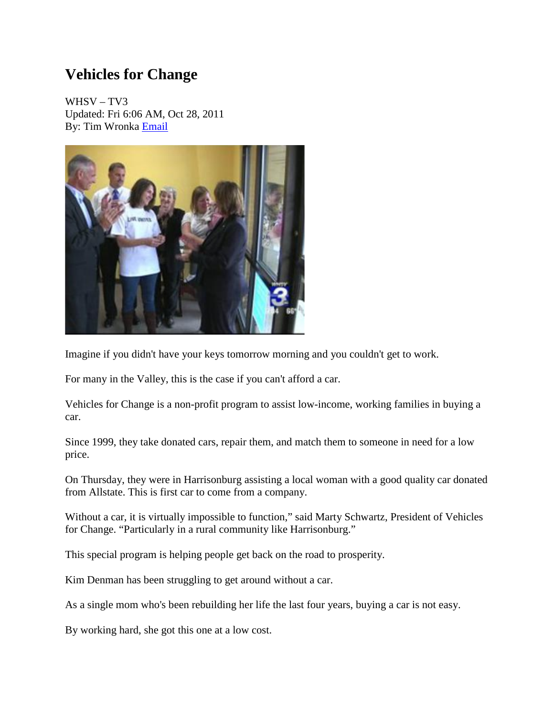## **Vehicles for Change**

WHSV – TV3 Updated: Fri 6:06 AM, Oct 28, 2011 By: Tim Wronka [Email](mailto:twronka@whsv.com?subject=RE:Vehicles%20for%20Change&body=http://www.whsv.com/news/local/headlines/Vehicles_for_Change_132749868.html)



Imagine if you didn't have your keys tomorrow morning and you couldn't get to work.

For many in the Valley, this is the case if you can't afford a car.

Vehicles for Change is a non-profit program to assist low-income, working families in buying a car.

Since 1999, they take donated cars, repair them, and match them to someone in need for a low price.

On Thursday, they were in Harrisonburg assisting a local woman with a good quality car donated from Allstate. This is first car to come from a company.

Without a car, it is virtually impossible to function," said Marty Schwartz, President of Vehicles for Change. "Particularly in a rural community like Harrisonburg."

This special program is helping people get back on the road to prosperity.

Kim Denman has been struggling to get around without a car.

As a single mom who's been rebuilding her life the last four years, buying a car is not easy.

By working hard, she got this one at a low cost.